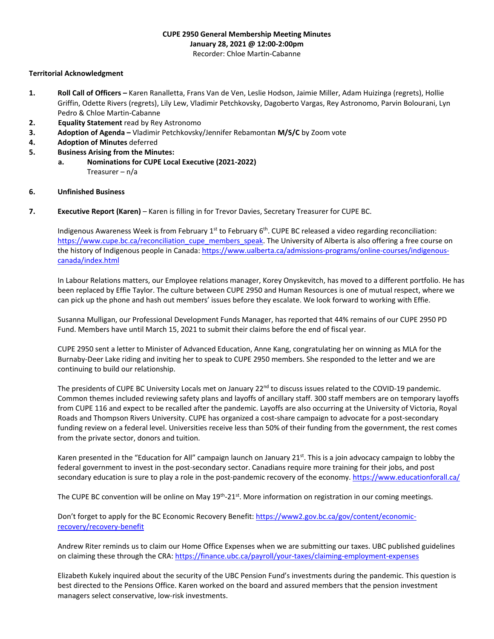# **CUPE 2950 General Membership Meeting Minutes January 28, 2021 @ 12:00-2:00pm**

Recorder: Chloe Martin-Cabanne

### **Territorial Acknowledgment**

- **1. Roll Call of Officers –** Karen Ranalletta, Frans Van de Ven, Leslie Hodson, Jaimie Miller, Adam Huizinga (regrets), Hollie Griffin, Odette Rivers (regrets), Lily Lew, Vladimir Petchkovsky, Dagoberto Vargas, Rey Astronomo, Parvin Bolourani, Lyn Pedro & Chloe Martin-Cabanne
- **2. Equality Statement** read by Rey Astronomo
- **3. Adoption of Agenda –** Vladimir Petchkovsky/Jennifer Rebamontan **M/S/C** by Zoom vote
- **4. Adoption of Minutes** deferred
- **5. Business Arising from the Minutes:**
	- **a. Nominations for CUPE Local Executive (2021-2022)** Treasurer – n/a

#### **6. Unfinished Business**

**7. Executive Report (Karen)** – Karen is filling in for Trevor Davies, Secretary Treasurer for CUPE BC.

Indigenous Awareness Week is from February  $1^{st}$  to February 6<sup>th</sup>. CUPE BC released a video regarding reconciliation: [https://www.cupe.bc.ca/reconciliation\\_cupe\\_members\\_speak.](https://www.cupe.bc.ca/reconciliation_cupe_members_speak) The University of Alberta is also offering a free course on the history of Indigenous people in Canada[: https://www.ualberta.ca/admissions-programs/online-courses/indigenous](https://www.ualberta.ca/admissions-programs/online-courses/indigenous-canada/index.html)[canada/index.html](https://www.ualberta.ca/admissions-programs/online-courses/indigenous-canada/index.html)

In Labour Relations matters, our Employee relations manager, Korey Onyskevitch, has moved to a different portfolio. He has been replaced by Effie Taylor. The culture between CUPE 2950 and Human Resources is one of mutual respect, where we can pick up the phone and hash out members' issues before they escalate. We look forward to working with Effie.

Susanna Mulligan, our Professional Development Funds Manager, has reported that 44% remains of our CUPE 2950 PD Fund. Members have until March 15, 2021 to submit their claims before the end of fiscal year.

CUPE 2950 sent a letter to Minister of Advanced Education, Anne Kang, congratulating her on winning as MLA for the Burnaby-Deer Lake riding and inviting her to speak to CUPE 2950 members. She responded to the letter and we are continuing to build our relationship.

The presidents of CUPE BC University Locals met on January  $22^{nd}$  to discuss issues related to the COVID-19 pandemic. Common themes included reviewing safety plans and layoffs of ancillary staff. 300 staff members are on temporary layoffs from CUPE 116 and expect to be recalled after the pandemic. Layoffs are also occurring at the University of Victoria, Royal Roads and Thompson Rivers University. CUPE has organized a cost-share campaign to advocate for a post-secondary funding review on a federal level. Universities receive less than 50% of their funding from the government, the rest comes from the private sector, donors and tuition.

Karen presented in the "Education for All" campaign launch on January  $21<sup>st</sup>$ . This is a join advocacy campaign to lobby the federal government to invest in the post-secondary sector. Canadians require more training for their jobs, and post secondary education is sure to play a role in the post-pandemic recovery of the economy[. https://www.educationforall.ca/](https://www.educationforall.ca/)

The CUPE BC convention will be online on May 19<sup>th</sup>-21<sup>st</sup>. More information on registration in our coming meetings.

Don't forget to apply for the BC Economic Recovery Benefit: [https://www2.gov.bc.ca/gov/content/economic](https://www2.gov.bc.ca/gov/content/economic-recovery/recovery-benefit)[recovery/recovery-benefit](https://www2.gov.bc.ca/gov/content/economic-recovery/recovery-benefit)

Andrew Riter reminds us to claim our Home Office Expenses when we are submitting our taxes. UBC published guidelines on claiming these through the CRA[: https://finance.ubc.ca/payroll/your-taxes/claiming-employment-expenses](https://finance.ubc.ca/payroll/your-taxes/claiming-employment-expenses)

Elizabeth Kukely inquired about the security of the UBC Pension Fund's investments during the pandemic. This question is best directed to the Pensions Office. Karen worked on the board and assured members that the pension investment managers select conservative, low-risk investments.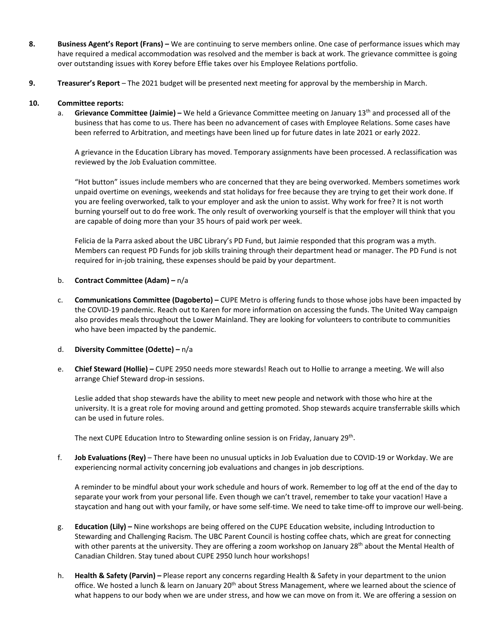- **8. Business Agent's Report (Frans) –** We are continuing to serve members online. One case of performance issues which may have required a medical accommodation was resolved and the member is back at work. The grievance committee is going over outstanding issues with Korey before Effie takes over his Employee Relations portfolio.
- **9. Treasurer's Report**  The 2021 budget will be presented next meeting for approval by the membership in March.

## **10. Committee reports:**

a. **Grievance Committee (Jaimie) –** We held a Grievance Committee meeting on January 13th and processed all of the business that has come to us. There has been no advancement of cases with Employee Relations. Some cases have been referred to Arbitration, and meetings have been lined up for future dates in late 2021 or early 2022.

A grievance in the Education Library has moved. Temporary assignments have been processed. A reclassification was reviewed by the Job Evaluation committee.

"Hot button" issues include members who are concerned that they are being overworked. Members sometimes work unpaid overtime on evenings, weekends and stat holidays for free because they are trying to get their work done. If you are feeling overworked, talk to your employer and ask the union to assist. Why work for free? It is not worth burning yourself out to do free work. The only result of overworking yourself is that the employer will think that you are capable of doing more than your 35 hours of paid work per week.

Felicia de la Parra asked about the UBC Library's PD Fund, but Jaimie responded that this program was a myth. Members can request PD Funds for job skills training through their department head or manager. The PD Fund is not required for in-job training, these expenses should be paid by your department.

### b. **Contract Committee (Adam) –** n/a

c. **Communications Committee (Dagoberto) –** CUPE Metro is offering funds to those whose jobs have been impacted by the COVID-19 pandemic. Reach out to Karen for more information on accessing the funds. The United Way campaign also provides meals throughout the Lower Mainland. They are looking for volunteers to contribute to communities who have been impacted by the pandemic.

# d. **Diversity Committee (Odette) –** n/a

e. **Chief Steward (Hollie) –** CUPE 2950 needs more stewards! Reach out to Hollie to arrange a meeting. We will also arrange Chief Steward drop-in sessions.

Leslie added that shop stewards have the ability to meet new people and network with those who hire at the university. It is a great role for moving around and getting promoted. Shop stewards acquire transferrable skills which can be used in future roles.

The next CUPE Education Intro to Stewarding online session is on Friday, January 29<sup>th</sup>.

f. **Job Evaluations (Rey)** – There have been no unusual upticks in Job Evaluation due to COVID-19 or Workday. We are experiencing normal activity concerning job evaluations and changes in job descriptions.

A reminder to be mindful about your work schedule and hours of work. Remember to log off at the end of the day to separate your work from your personal life. Even though we can't travel, remember to take your vacation! Have a staycation and hang out with your family, or have some self-time. We need to take time-off to improve our well-being.

- g. **Education (Lily) –** Nine workshops are being offered on the CUPE Education website, including Introduction to Stewarding and Challenging Racism. The UBC Parent Council is hosting coffee chats, which are great for connecting with other parents at the university. They are offering a zoom workshop on January 28<sup>th</sup> about the Mental Health of Canadian Children. Stay tuned about CUPE 2950 lunch hour workshops!
- h. **Health & Safety (Parvin) –** Please report any concerns regarding Health & Safety in your department to the union office. We hosted a lunch & learn on January 20<sup>th</sup> about Stress Management, where we learned about the science of what happens to our body when we are under stress, and how we can move on from it. We are offering a session on